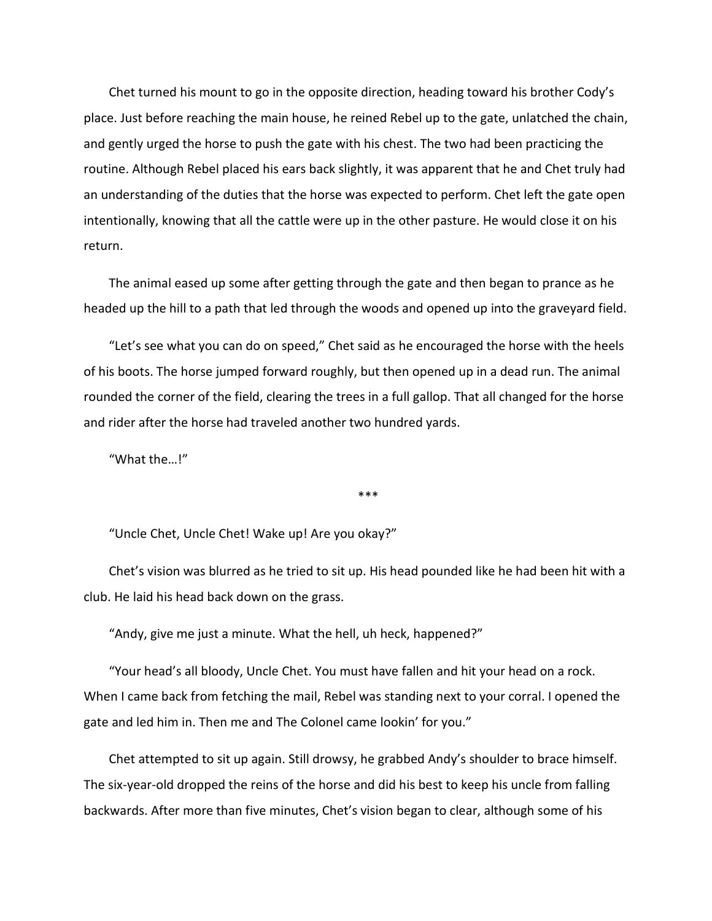Chet turned his mount to go in the opposite direction, heading toward his brother Cody's place. Just before reaching the main house, he reined Rebel up to the gate, unlatched the chain, and gently urged the horse to push the gate with his chest. The two had been practicing the routine. Although Rebel placed his ears back slightly, it was apparent that he and Chet truly had an understanding of the duties that the horse was expected to perform. Chet left the gate open intentionally, knowing that all the cattle were up in the other pasture. He would close it on his return.

The animal eased up some after getting through the gate and then began to prance as he headed up the hill to a path that led through the woods and opened up into the graveyard field.

"Let's see what you can do on speed," Chet said as he encouraged the horse with the heels of his boots. The horse jumped forward roughly, but then opened up in a dead run. The animal rounded the corner of the field, clearing the trees in a full gallop. That all changed for the horse and rider after the horse had traveled another two hundred yards.

"What the…!"

\*\*\*

"Uncle Chet, Uncle Chet! Wake up! Are you okay?"

Chet's vision was blurred as he tried to sit up. His head pounded like he had been hit with a club. He laid his head back down on the grass.

"Andy, give me just a minute. What the hell, uh heck, happened?"

"Your head's all bloody, Uncle Chet. You must have fallen and hit your head on a rock. When I came back from fetching the mail, Rebel was standing next to your corral. I opened the gate and led him in. Then me and The Colonel came lookin' for you."

Chet attempted to sit up again. Still drowsy, he grabbed Andy's shoulder to brace himself. The six-year-old dropped the reins of the horse and did his best to keep his uncle from falling backwards. After more than five minutes, Chet's vision began to clear, although some of his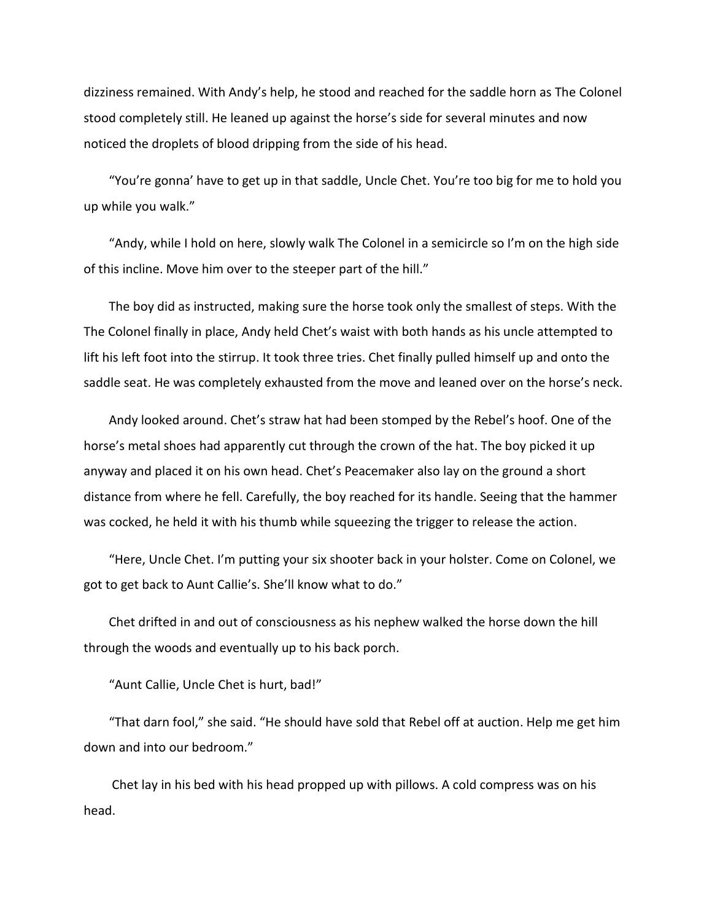dizziness remained. With Andy's help, he stood and reached for the saddle horn as The Colonel stood completely still. He leaned up against the horse's side for several minutes and now noticed the droplets of blood dripping from the side of his head.

"You're gonna' have to get up in that saddle, Uncle Chet. You're too big for me to hold you up while you walk."

"Andy, while I hold on here, slowly walk The Colonel in a semicircle so I'm on the high side of this incline. Move him over to the steeper part of the hill."

The boy did as instructed, making sure the horse took only the smallest of steps. With the The Colonel finally in place, Andy held Chet's waist with both hands as his uncle attempted to lift his left foot into the stirrup. It took three tries. Chet finally pulled himself up and onto the saddle seat. He was completely exhausted from the move and leaned over on the horse's neck.

Andy looked around. Chet's straw hat had been stomped by the Rebel's hoof. One of the horse's metal shoes had apparently cut through the crown of the hat. The boy picked it up anyway and placed it on his own head. Chet's Peacemaker also lay on the ground a short distance from where he fell. Carefully, the boy reached for its handle. Seeing that the hammer was cocked, he held it with his thumb while squeezing the trigger to release the action.

"Here, Uncle Chet. I'm putting your six shooter back in your holster. Come on Colonel, we got to get back to Aunt Callie's. She'll know what to do."

Chet drifted in and out of consciousness as his nephew walked the horse down the hill through the woods and eventually up to his back porch.

"Aunt Callie, Uncle Chet is hurt, bad!"

"That darn fool," she said. "He should have sold that Rebel off at auction. Help me get him down and into our bedroom."

Chet lay in his bed with his head propped up with pillows. A cold compress was on his head.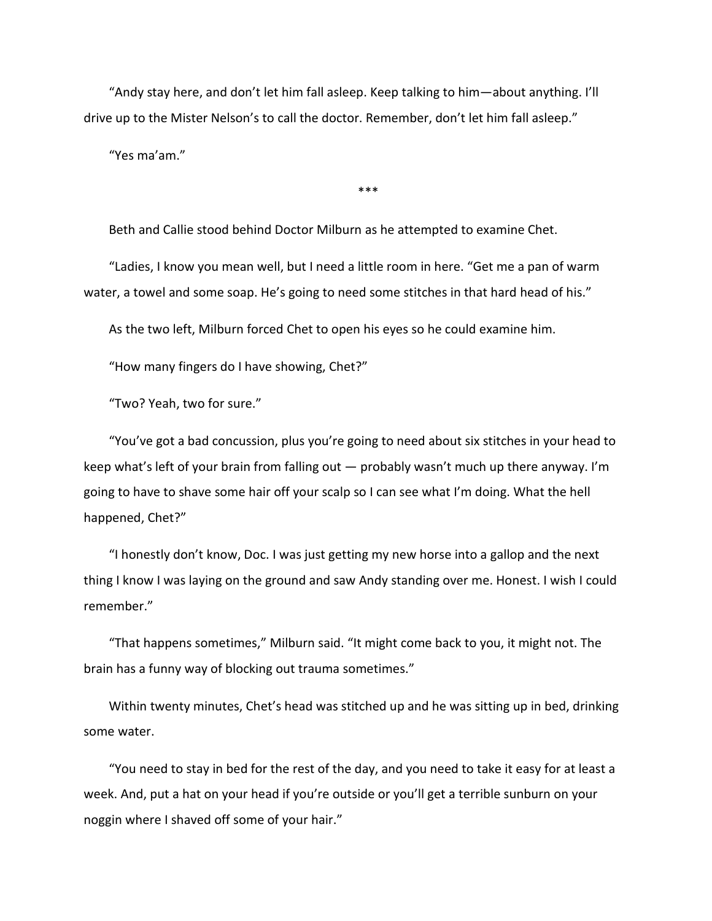"Andy stay here, and don't let him fall asleep. Keep talking to him—about anything. I'll drive up to the Mister Nelson's to call the doctor. Remember, don't let him fall asleep."

"Yes ma'am."

\*\*\*

Beth and Callie stood behind Doctor Milburn as he attempted to examine Chet.

"Ladies, I know you mean well, but I need a little room in here. "Get me a pan of warm water, a towel and some soap. He's going to need some stitches in that hard head of his."

As the two left, Milburn forced Chet to open his eyes so he could examine him.

"How many fingers do I have showing, Chet?"

"Two? Yeah, two for sure."

"You've got a bad concussion, plus you're going to need about six stitches in your head to keep what's left of your brain from falling out — probably wasn't much up there anyway. I'm going to have to shave some hair off your scalp so I can see what I'm doing. What the hell happened, Chet?"

"I honestly don't know, Doc. I was just getting my new horse into a gallop and the next thing I know I was laying on the ground and saw Andy standing over me. Honest. I wish I could remember."

"That happens sometimes," Milburn said. "It might come back to you, it might not. The brain has a funny way of blocking out trauma sometimes."

Within twenty minutes, Chet's head was stitched up and he was sitting up in bed, drinking some water.

"You need to stay in bed for the rest of the day, and you need to take it easy for at least a week. And, put a hat on your head if you're outside or you'll get a terrible sunburn on your noggin where I shaved off some of your hair."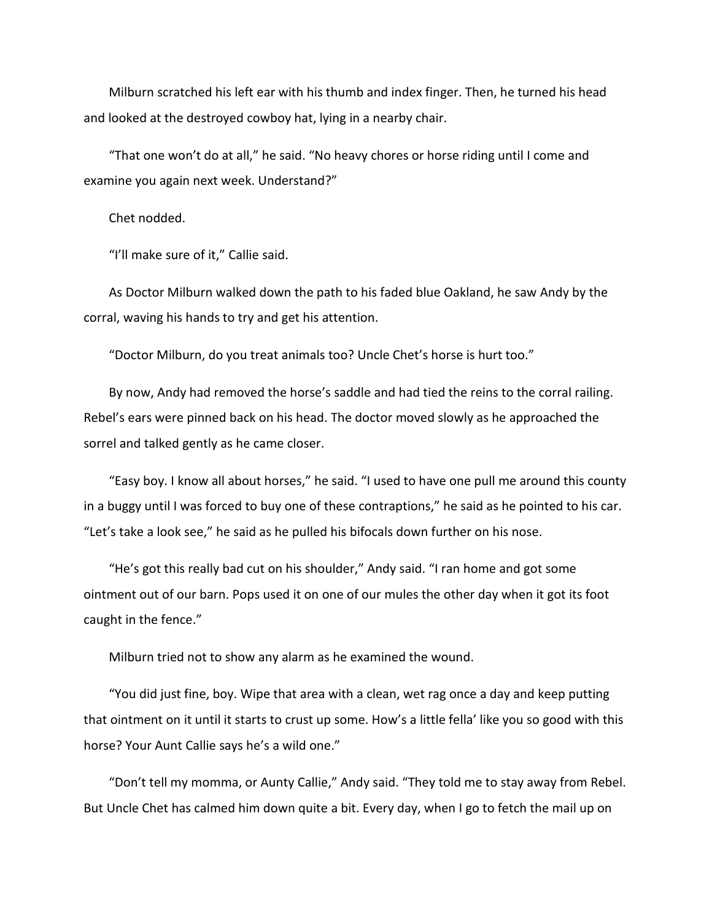Milburn scratched his left ear with his thumb and index finger. Then, he turned his head and looked at the destroyed cowboy hat, lying in a nearby chair.

"That one won't do at all," he said. "No heavy chores or horse riding until I come and examine you again next week. Understand?"

Chet nodded.

"I'll make sure of it," Callie said.

As Doctor Milburn walked down the path to his faded blue Oakland, he saw Andy by the corral, waving his hands to try and get his attention.

"Doctor Milburn, do you treat animals too? Uncle Chet's horse is hurt too."

By now, Andy had removed the horse's saddle and had tied the reins to the corral railing. Rebel's ears were pinned back on his head. The doctor moved slowly as he approached the sorrel and talked gently as he came closer.

"Easy boy. I know all about horses," he said. "I used to have one pull me around this county in a buggy until I was forced to buy one of these contraptions," he said as he pointed to his car. "Let's take a look see," he said as he pulled his bifocals down further on his nose.

"He's got this really bad cut on his shoulder," Andy said. "I ran home and got some ointment out of our barn. Pops used it on one of our mules the other day when it got its foot caught in the fence."

Milburn tried not to show any alarm as he examined the wound.

"You did just fine, boy. Wipe that area with a clean, wet rag once a day and keep putting that ointment on it until it starts to crust up some. How's a little fella' like you so good with this horse? Your Aunt Callie says he's a wild one."

"Don't tell my momma, or Aunty Callie," Andy said. "They told me to stay away from Rebel. But Uncle Chet has calmed him down quite a bit. Every day, when I go to fetch the mail up on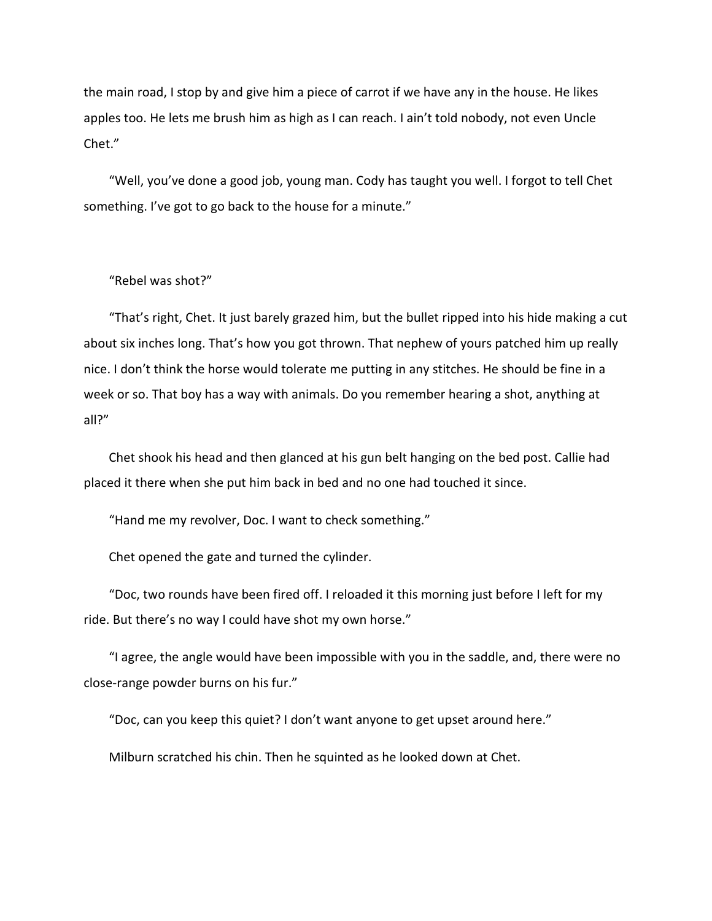the main road, I stop by and give him a piece of carrot if we have any in the house. He likes apples too. He lets me brush him as high as I can reach. I ain't told nobody, not even Uncle Chet."

"Well, you've done a good job, young man. Cody has taught you well. I forgot to tell Chet something. I've got to go back to the house for a minute."

## "Rebel was shot?"

"That's right, Chet. It just barely grazed him, but the bullet ripped into his hide making a cut about six inches long. That's how you got thrown. That nephew of yours patched him up really nice. I don't think the horse would tolerate me putting in any stitches. He should be fine in a week or so. That boy has a way with animals. Do you remember hearing a shot, anything at all?"

Chet shook his head and then glanced at his gun belt hanging on the bed post. Callie had placed it there when she put him back in bed and no one had touched it since.

"Hand me my revolver, Doc. I want to check something."

Chet opened the gate and turned the cylinder.

"Doc, two rounds have been fired off. I reloaded it this morning just before I left for my ride. But there's no way I could have shot my own horse."

"I agree, the angle would have been impossible with you in the saddle, and, there were no close-range powder burns on his fur."

"Doc, can you keep this quiet? I don't want anyone to get upset around here."

Milburn scratched his chin. Then he squinted as he looked down at Chet.